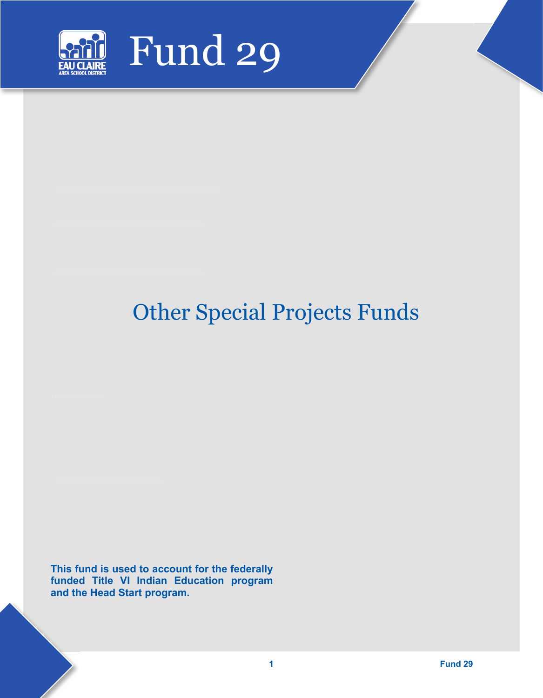

# Other Special Projects Funds

**This fund is used to account for the federally funded Title VI Indian Education program and the Head Start program.**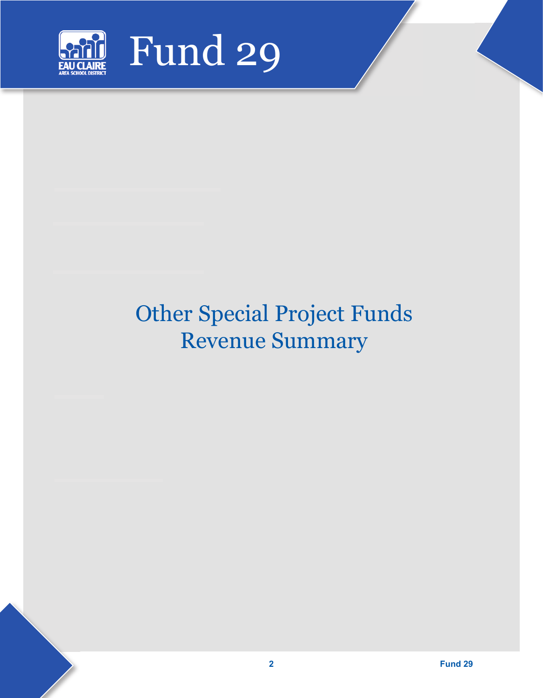

## Other Special Project Funds Revenue Summary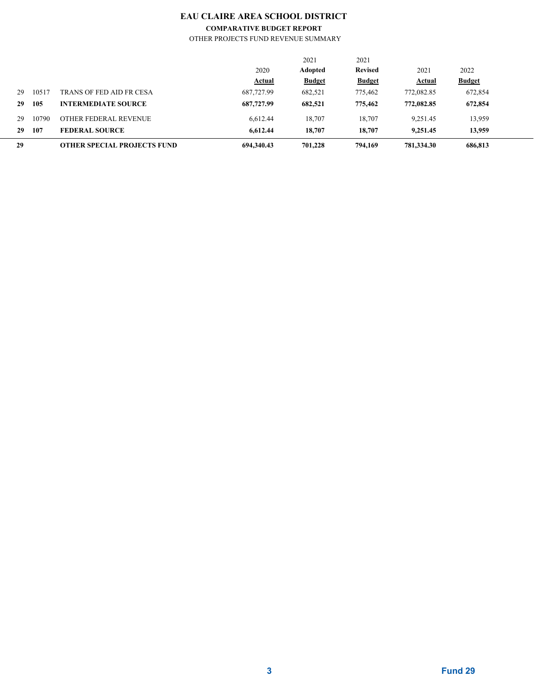## **EAU CLAIRE AREA SCHOOL DISTRICT**

### **COMPARATIVE BUDGET REPORT**

OTHER PROJECTS FUND REVENUE SUMMARY

| 29 |       | <b>OTHER SPECIAL PROJECTS FUND</b> | 694.340.43    | 701.228       | 794,169        | 781.334.30    | 686,813       |  |
|----|-------|------------------------------------|---------------|---------------|----------------|---------------|---------------|--|
| 29 | 107   | <b>FEDERAL SOURCE</b>              | 6.612.44      | 18,707        | 18,707         | 9,251.45      | 13,959        |  |
| 29 | 10790 | OTHER FEDERAL REVENUE              | 6.612.44      | 18.707        | 18,707         | 9.251.45      | 13,959        |  |
| 29 | 105   | <b>INTERMEDIATE SOURCE</b>         | 687,727.99    | 682,521       | 775,462        | 772,082.85    | 672,854       |  |
| 29 | 10517 | TRANS OF FED AID FR CESA           | 687,727.99    | 682,521       | 775,462        | 772,082.85    | 672,854       |  |
|    |       |                                    | <b>Actual</b> | <b>Budget</b> | <b>Budget</b>  | <b>Actual</b> | <b>Budget</b> |  |
|    |       |                                    | 2020          | Adopted       | <b>Revised</b> | 2021          | 2022          |  |
|    |       |                                    |               | 2021          | 2021           |               |               |  |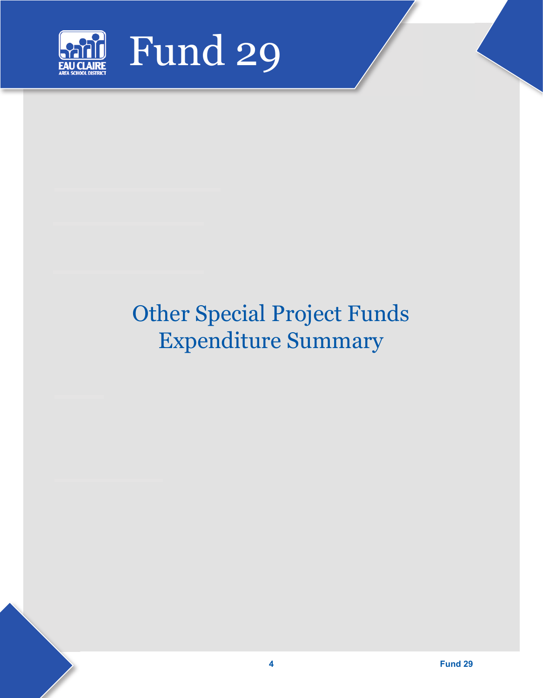

# Other Special Project Funds Expenditure Summary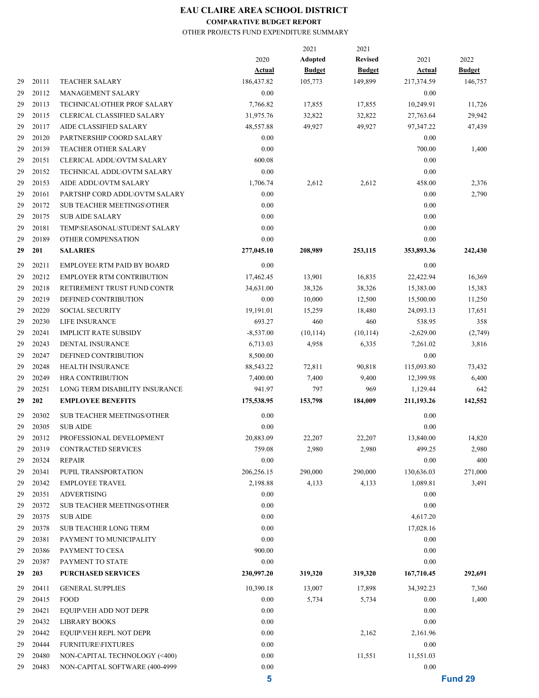## **EAU CLAIRE AREA SCHOOL DISTRICT**

### **COMPARATIVE BUDGET REPORT**

### OTHER PROJECTS FUND EXPENDITURE SUMMARY

|    |       |                                   |                       | 2021                     | 2021                            |                       |                       |
|----|-------|-----------------------------------|-----------------------|--------------------------|---------------------------------|-----------------------|-----------------------|
|    |       |                                   | 2020<br><u>Actual</u> | Adopted<br><b>Budget</b> | <b>Revised</b><br><b>Budget</b> | 2021<br><u>Actual</u> | 2022<br><b>Budget</b> |
| 29 | 20111 | <b>TEACHER SALARY</b>             | 186,437.82            | 105,773                  | 149,899                         | 217,374.59            | 146,757               |
| 29 | 20112 | <b>MANAGEMENT SALARY</b>          | 0.00                  |                          |                                 | 0.00                  |                       |
| 29 | 20113 | TECHNICAL\OTHER PROF SALARY       | 7,766.82              | 17,855                   | 17,855                          | 10,249.91             | 11,726                |
| 29 | 20115 | <b>CLERICAL CLASSIFIED SALARY</b> | 31,975.76             | 32,822                   | 32,822                          | 27,763.64             | 29,942                |
| 29 | 20117 | AIDE CLASSIFIED SALARY            | 48,557.88             | 49,927                   | 49,927                          | 97,347.22             | 47,439                |
| 29 | 20120 | PARTNERSHIP COORD SALARY          | 0.00                  |                          |                                 | 0.00                  |                       |
| 29 | 20139 | <b>TEACHER OTHER SALARY</b>       | 0.00                  |                          |                                 | 700.00                | 1,400                 |
| 29 | 20151 | <b>CLERICAL ADDL\OVTM SALARY</b>  | 600.08                |                          |                                 | 0.00                  |                       |
| 29 | 20152 | TECHNICAL ADDL\OVTM SALARY        | 0.00                  |                          |                                 | 0.00                  |                       |
| 29 | 20153 | AIDE ADDL\OVTM SALARY             | 1,706.74              | 2,612                    | 2,612                           | 458.00                | 2,376                 |
| 29 | 20161 | PARTSHP CORD ADDL\OVTM SALARY     | 0.00                  |                          |                                 | 0.00                  | 2,790                 |
| 29 | 20172 | <b>SUB TEACHER MEETINGS\OTHER</b> | 0.00                  |                          |                                 | 0.00                  |                       |
| 29 | 20175 | <b>SUB AIDE SALARY</b>            | 0.00                  |                          |                                 | 0.00                  |                       |
| 29 | 20181 | TEMP\SEASONAL\STUDENT SALARY      | 0.00                  |                          |                                 | 0.00                  |                       |
| 29 | 20189 | OTHER COMPENSATION                | 0.00                  |                          |                                 | 0.00                  |                       |
| 29 | 201   | <b>SALARIES</b>                   | 277,045.10            | 208,989                  | 253,115                         | 353,893.36            | 242,430               |
|    |       |                                   |                       |                          |                                 |                       |                       |
| 29 | 20211 | EMPLOYEE RTM PAID BY BOARD        | 0.00                  |                          |                                 | 0.00                  |                       |
| 29 | 20212 | <b>EMPLOYER RTM CONTRIBUTION</b>  | 17,462.45             | 13,901                   | 16,835                          | 22,422.94             | 16,369                |
| 29 | 20218 | RETIREMENT TRUST FUND CONTR       | 34,631.00             | 38,326                   | 38,326                          | 15,383.00             | 15,383                |
| 29 | 20219 | DEFINED CONTRIBUTION              | 0.00                  | 10,000                   | 12,500                          | 15,500.00             | 11,250                |
| 29 | 20220 | <b>SOCIAL SECURITY</b>            | 19,191.01             | 15,259                   | 18,480                          | 24,093.13             | 17,651                |
| 29 | 20230 | <b>LIFE INSURANCE</b>             | 693.27                | 460                      | 460                             | 538.95                | 358                   |
| 29 | 20241 | <b>IMPLICIT RATE SUBSIDY</b>      | $-8,537.00$           | (10, 114)                | (10, 114)                       | $-2,629.00$           | (2,749)               |
| 29 | 20243 | DENTAL INSURANCE                  | 6,713.03              | 4,958                    | 6,335                           | 7,261.02              | 3,816                 |
| 29 | 20247 | DEFINED CONTRIBUTION              | 8,500.00              |                          |                                 | 0.00                  |                       |
| 29 | 20248 | <b>HEALTH INSURANCE</b>           | 88,543.22             | 72,811                   | 90,818                          | 115,093.80            | 73,432                |
| 29 | 20249 | <b>HRA CONTRIBUTION</b>           | 7,400.00              | 7,400                    | 9,400                           | 12,399.98             | 6,400                 |
| 29 | 20251 | LONG TERM DISABILITY INSURANCE    | 941.97                | 797                      | 969                             | 1,129.44              | 642                   |
| 29 | 202   | <b>EMPLOYEE BENEFITS</b>          | 175,538.95            | 153,798                  | 184,009                         | 211,193.26            | 142,552               |
| 29 | 20302 | <b>SUB TEACHER MEETINGS/OTHER</b> | 0.00                  |                          |                                 | 0.00                  |                       |
| 29 | 20305 | <b>SUB AIDE</b>                   | 0.00                  |                          |                                 | 0.00                  |                       |
| 29 | 20312 | PROFESSIONAL DEVELOPMENT          | 20,883.09             | 22,207                   | 22,207                          | 13,840.00             | 14,820                |
| 29 | 20319 | <b>CONTRACTED SERVICES</b>        | 759.08                | 2,980                    | 2,980                           | 499.25                | 2,980                 |
| 29 | 20324 | <b>REPAIR</b>                     | 0.00                  |                          |                                 | 0.00                  | 400                   |
| 29 | 20341 | PUPIL TRANSPORTATION              | 206,256.15            | 290,000                  | 290,000                         | 130,636.03            | 271,000               |
| 29 | 20342 | <b>EMPLOYEE TRAVEL</b>            | 2,198.88              | 4,133                    | 4,133                           | 1,089.81              | 3,491                 |
| 29 | 20351 | <b>ADVERTISING</b>                | 0.00                  |                          |                                 | 0.00                  |                       |
| 29 | 20372 | <b>SUB TEACHER MEETINGS/OTHER</b> | 0.00                  |                          |                                 | 0.00                  |                       |
| 29 | 20375 | <b>SUB AIDE</b>                   | 0.00                  |                          |                                 | 4,617.20              |                       |
| 29 | 20378 | <b>SUB TEACHER LONG TERM</b>      | 0.00                  |                          |                                 | 17,028.16             |                       |
| 29 | 20381 | PAYMENT TO MUNICIPALITY           | 0.00                  |                          |                                 | 0.00                  |                       |
| 29 | 20386 | PAYMENT TO CESA                   | 900.00                |                          |                                 | 0.00                  |                       |
| 29 | 20387 | PAYMENT TO STATE                  | 0.00                  |                          |                                 | 0.00                  |                       |
| 29 | 203   | <b>PURCHASED SERVICES</b>         | 230,997.20            | 319,320                  | 319,320                         | 167,710.45            | 292,691               |
| 29 | 20411 | <b>GENERAL SUPPLIES</b>           | 10,390.18             | 13,007                   | 17,898                          | 34,392.23             | 7,360                 |
| 29 | 20415 | FOOD                              | 0.00                  | 5,734                    | 5,734                           | 0.00                  | 1,400                 |
| 29 | 20421 | EQUIP\VEH ADD NOT DEPR            | 0.00                  |                          |                                 | 0.00                  |                       |
| 29 | 20432 | <b>LIBRARY BOOKS</b>              | 0.00                  |                          |                                 | 0.00                  |                       |
| 29 | 20442 | EQUIP\VEH REPL NOT DEPR           | 0.00                  |                          | 2,162                           | 2,161.96              |                       |
| 29 | 20444 | <b>FURNITURE\FIXTURES</b>         | 0.00                  |                          |                                 | 0.00                  |                       |
| 29 | 20480 | NON-CAPITAL TECHNOLOGY (<400)     | 0.00                  |                          | 11,551                          | 11,551.03             |                       |
| 29 | 20483 | NON-CAPITAL SOFTWARE (400-4999    | 0.00                  |                          |                                 | 0.00                  |                       |
|    |       |                                   | 5                     |                          |                                 |                       | Fund 29               |